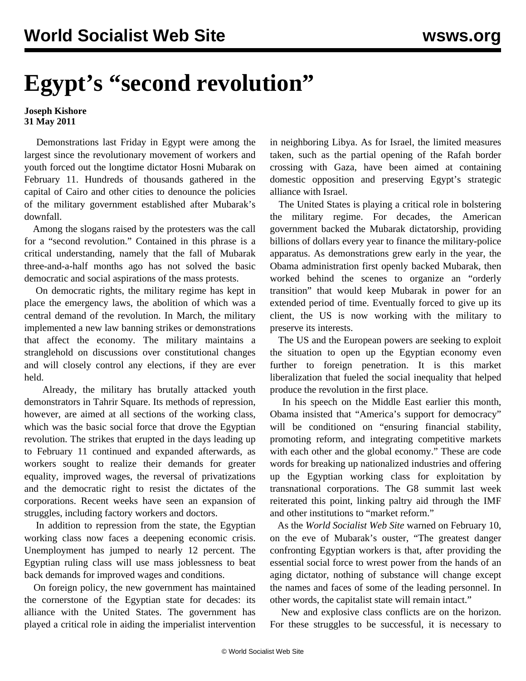## **Egypt's "second revolution"**

## **Joseph Kishore 31 May 2011**

 Demonstrations last Friday in Egypt were among the largest since the revolutionary movement of workers and youth forced out the longtime dictator Hosni Mubarak on February 11. Hundreds of thousands gathered in the capital of Cairo and other cities to denounce the policies of the military government established after Mubarak's downfall.

 Among the slogans raised by the protesters was the call for a "second revolution." Contained in this phrase is a critical understanding, namely that the fall of Mubarak three-and-a-half months ago has not solved the basic democratic and social aspirations of the mass protests.

 On democratic rights, the military regime has kept in place the emergency laws, the abolition of which was a central demand of the revolution. In March, the military implemented a new law banning strikes or demonstrations that affect the economy. The military maintains a stranglehold on discussions over constitutional changes and will closely control any elections, if they are ever held.

 Already, the military has brutally attacked youth demonstrators in Tahrir Square. Its methods of repression, however, are aimed at all sections of the working class, which was the basic social force that drove the Egyptian revolution. The strikes that erupted in the days leading up to February 11 continued and expanded afterwards, as workers sought to realize their demands for greater equality, improved wages, the reversal of privatizations and the democratic right to resist the dictates of the corporations. Recent weeks have seen an expansion of struggles, including factory workers and doctors.

 In addition to repression from the state, the Egyptian working class now faces a deepening economic crisis. Unemployment has jumped to nearly 12 percent. The Egyptian ruling class will use mass joblessness to beat back demands for improved wages and conditions.

 On foreign policy, the new government has maintained the cornerstone of the Egyptian state for decades: its alliance with the United States. The government has played a critical role in aiding the imperialist intervention in neighboring Libya. As for Israel, the limited measures taken, such as the partial opening of the Rafah border crossing with Gaza, have been aimed at containing domestic opposition and preserving Egypt's strategic alliance with Israel.

 The United States is playing a critical role in bolstering the military regime. For decades, the American government backed the Mubarak dictatorship, providing billions of dollars every year to finance the military-police apparatus. As demonstrations grew early in the year, the Obama administration first openly backed Mubarak, then worked behind the scenes to organize an "orderly transition" that would keep Mubarak in power for an extended period of time. Eventually forced to give up its client, the US is now working with the military to preserve its interests.

 The US and the European powers are seeking to exploit the situation to open up the Egyptian economy even further to foreign penetration. It is this market liberalization that fueled the social inequality that helped produce the revolution in the first place.

 In his speech on the Middle East earlier this month, Obama insisted that "America's support for democracy" will be conditioned on "ensuring financial stability, promoting reform, and integrating competitive markets with each other and the global economy." These are code words for breaking up nationalized industries and offering up the Egyptian working class for exploitation by transnational corporations. The G8 summit last week reiterated this point, linking paltry aid through the IMF and other institutions to "market reform."

 As the *World Socialist Web Site* [warned](/en/articles/2011/feb2011/pers-f10.shtml) on February 10, on the eve of Mubarak's ouster, "The greatest danger confronting Egyptian workers is that, after providing the essential social force to wrest power from the hands of an aging dictator, nothing of substance will change except the names and faces of some of the leading personnel. In other words, the capitalist state will remain intact."

 New and explosive class conflicts are on the horizon. For these struggles to be successful, it is necessary to